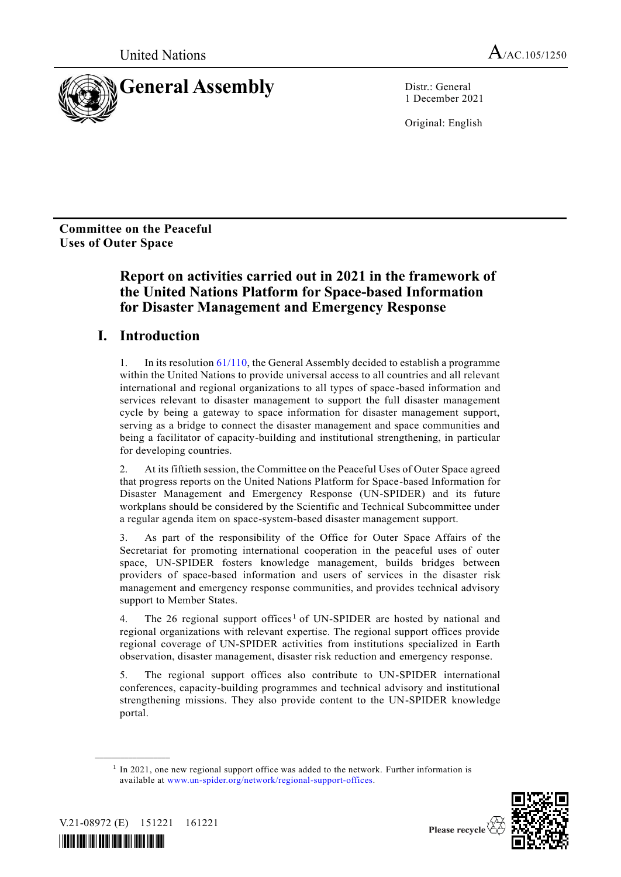

1 December 2021

Original: English

**Committee on the Peaceful Uses of Outer Space**

# **Report on activities carried out in 2021 in the framework of the United Nations Platform for Space-based Information for Disaster Management and Emergency Response**

# **I. Introduction**

1. In its resolutio[n 61/110,](http://undocs.org/A/RES/61/110) the General Assembly decided to establish a programme within the United Nations to provide universal access to all countries and all relevant international and regional organizations to all types of space-based information and services relevant to disaster management to support the full disaster management cycle by being a gateway to space information for disaster management support, serving as a bridge to connect the disaster management and space communities and being a facilitator of capacity-building and institutional strengthening, in particular for developing countries.

2. At its fiftieth session, the Committee on the Peaceful Uses of Outer Space agreed that progress reports on the United Nations Platform for Space-based Information for Disaster Management and Emergency Response (UN-SPIDER) and its future workplans should be considered by the Scientific and Technical Subcommittee under a regular agenda item on space-system-based disaster management support.

3. As part of the responsibility of the Office for Outer Space Affairs of the Secretariat for promoting international cooperation in the peaceful uses of outer space, UN-SPIDER fosters knowledge management, builds bridges between providers of space-based information and users of services in the disaster risk management and emergency response communities, and provides technical advisory support to Member States.

4. The 26 regional support offices<sup>1</sup> of UN-SPIDER are hosted by national and regional organizations with relevant expertise. The regional support offices provide regional coverage of UN-SPIDER activities from institutions specialized in Earth observation, disaster management, disaster risk reduction and emergency response.

5. The regional support offices also contribute to UN-SPIDER international conferences, capacity-building programmes and technical advisory and institutional strengthening missions. They also provide content to the UN-SPIDER knowledge portal.

<sup>&</sup>lt;sup>1</sup> In 2021, one new regional support office was added to the network. Further information is available at [www.un-spider.org/network/regional-support-offices.](http://www.un-spider.org/network/regional-support-offices)





**\_\_\_\_\_\_\_\_\_\_\_\_\_\_\_\_\_\_**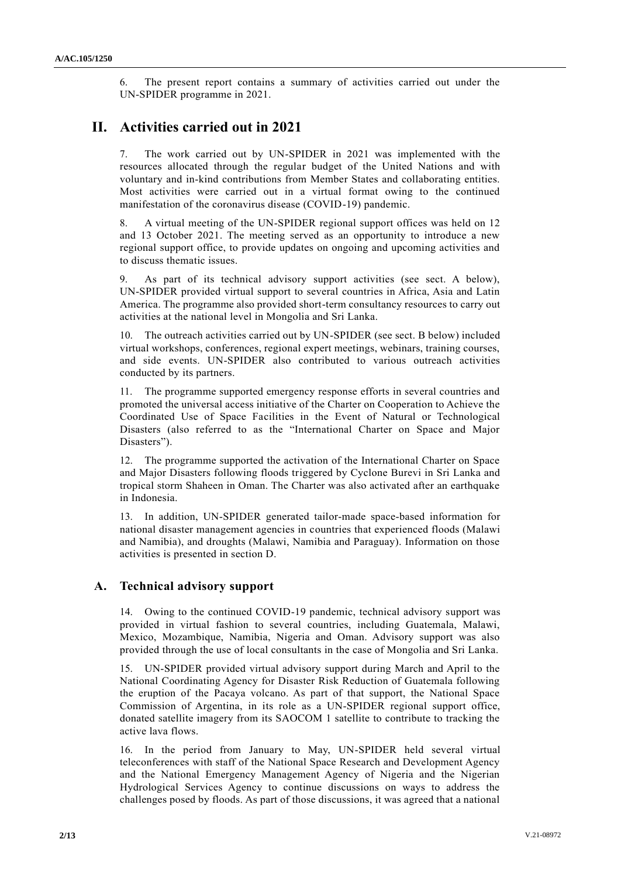6. The present report contains a summary of activities carried out under the UN-SPIDER programme in 2021.

# **II. Activities carried out in 2021**

7. The work carried out by UN-SPIDER in 2021 was implemented with the resources allocated through the regular budget of the United Nations and with voluntary and in-kind contributions from Member States and collaborating entities. Most activities were carried out in a virtual format owing to the continued manifestation of the coronavirus disease (COVID-19) pandemic.

8. A virtual meeting of the UN-SPIDER regional support offices was held on 12 and 13 October 2021. The meeting served as an opportunity to introduce a new regional support office, to provide updates on ongoing and upcoming activities and to discuss thematic issues.

As part of its technical advisory support activities (see sect. A below), UN-SPIDER provided virtual support to several countries in Africa, Asia and Latin America. The programme also provided short-term consultancy resources to carry out activities at the national level in Mongolia and Sri Lanka.

10. The outreach activities carried out by UN-SPIDER (see sect. B below) included virtual workshops, conferences, regional expert meetings, webinars, training courses, and side events. UN-SPIDER also contributed to various outreach activities conducted by its partners.

11. The programme supported emergency response efforts in several countries and promoted the universal access initiative of the Charter on Cooperation to Achieve the Coordinated Use of Space Facilities in the Event of Natural or Technological Disasters (also referred to as the "International Charter on Space and Major Disasters").

12. The programme supported the activation of the International Charter on Space and Major Disasters following floods triggered by Cyclone Burevi in Sri Lanka and tropical storm Shaheen in Oman. The Charter was also activated after an earthquake in Indonesia.

13. In addition, UN-SPIDER generated tailor-made space-based information for national disaster management agencies in countries that experienced floods (Malawi and Namibia), and droughts (Malawi, Namibia and Paraguay). Information on those activities is presented in section D.

# **A. Technical advisory support**

14. Owing to the continued COVID-19 pandemic, technical advisory support was provided in virtual fashion to several countries, including Guatemala, Malawi, Mexico, Mozambique, Namibia, Nigeria and Oman. Advisory support was also provided through the use of local consultants in the case of Mongolia and Sri Lanka.

15. UN-SPIDER provided virtual advisory support during March and April to the National Coordinating Agency for Disaster Risk Reduction of Guatemala following the eruption of the Pacaya volcano. As part of that support, the National Space Commission of Argentina, in its role as a UN-SPIDER regional support office, donated satellite imagery from its SAOCOM 1 satellite to contribute to tracking the active lava flows.

16. In the period from January to May, UN-SPIDER held several virtual teleconferences with staff of the National Space Research and Development Agency and the National Emergency Management Agency of Nigeria and the Nigerian Hydrological Services Agency to continue discussions on ways to address the challenges posed by floods. As part of those discussions, it was agreed that a national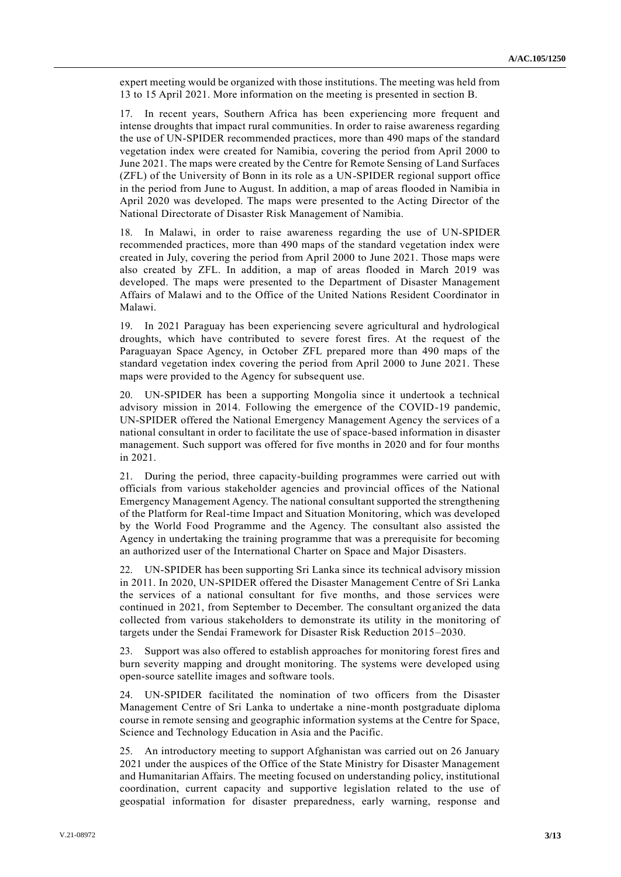expert meeting would be organized with those institutions. The meeting was held from 13 to 15 April 2021. More information on the meeting is presented in section B.

17. In recent years, Southern Africa has been experiencing more frequent and intense droughts that impact rural communities. In order to raise awareness regarding the use of UN-SPIDER recommended practices, more than 490 maps of the standard vegetation index were created for Namibia, covering the period from April 2000 to June 2021. The maps were created by the Centre for Remote Sensing of Land Surfaces (ZFL) of the University of Bonn in its role as a UN-SPIDER regional support office in the period from June to August. In addition, a map of areas flooded in Namibia in April 2020 was developed. The maps were presented to the Acting Director of the National Directorate of Disaster Risk Management of Namibia.

18. In Malawi, in order to raise awareness regarding the use of UN-SPIDER recommended practices, more than 490 maps of the standard vegetation index were created in July, covering the period from April 2000 to June 2021. Those maps were also created by ZFL. In addition, a map of areas flooded in March 2019 was developed. The maps were presented to the Department of Disaster Management Affairs of Malawi and to the Office of the United Nations Resident Coordinator in Malawi.

19. In 2021 Paraguay has been experiencing severe agricultural and hydrological droughts, which have contributed to severe forest fires. At the request of the Paraguayan Space Agency, in October ZFL prepared more than 490 maps of the standard vegetation index covering the period from April 2000 to June 2021. These maps were provided to the Agency for subsequent use.

20. UN-SPIDER has been a supporting Mongolia since it undertook a technical advisory mission in 2014. Following the emergence of the COVID-19 pandemic, UN-SPIDER offered the National Emergency Management Agency the services of a national consultant in order to facilitate the use of space-based information in disaster management. Such support was offered for five months in 2020 and for four months in 2021.

21. During the period, three capacity-building programmes were carried out with officials from various stakeholder agencies and provincial offices of the National Emergency Management Agency. The national consultant supported the strengthening of the Platform for Real-time Impact and Situation Monitoring, which was developed by the World Food Programme and the Agency. The consultant also assisted the Agency in undertaking the training programme that was a prerequisite for becoming an authorized user of the International Charter on Space and Major Disasters.

22. UN-SPIDER has been supporting Sri Lanka since its technical advisory mission in 2011. In 2020, UN-SPIDER offered the Disaster Management Centre of Sri Lanka the services of a national consultant for five months, and those services were continued in 2021, from September to December. The consultant organized the data collected from various stakeholders to demonstrate its utility in the monitoring of targets under the Sendai Framework for Disaster Risk Reduction 2015–2030.

23. Support was also offered to establish approaches for monitoring forest fires and burn severity mapping and drought monitoring. The systems were developed using open-source satellite images and software tools.

24. UN-SPIDER facilitated the nomination of two officers from the Disaster Management Centre of Sri Lanka to undertake a nine-month postgraduate diploma course in remote sensing and geographic information systems at the Centre for Space, Science and Technology Education in Asia and the Pacific.

25. An introductory meeting to support Afghanistan was carried out on 26 January 2021 under the auspices of the Office of the State Ministry for Disaster Management and Humanitarian Affairs. The meeting focused on understanding policy, institutional coordination, current capacity and supportive legislation related to the use of geospatial information for disaster preparedness, early warning, response and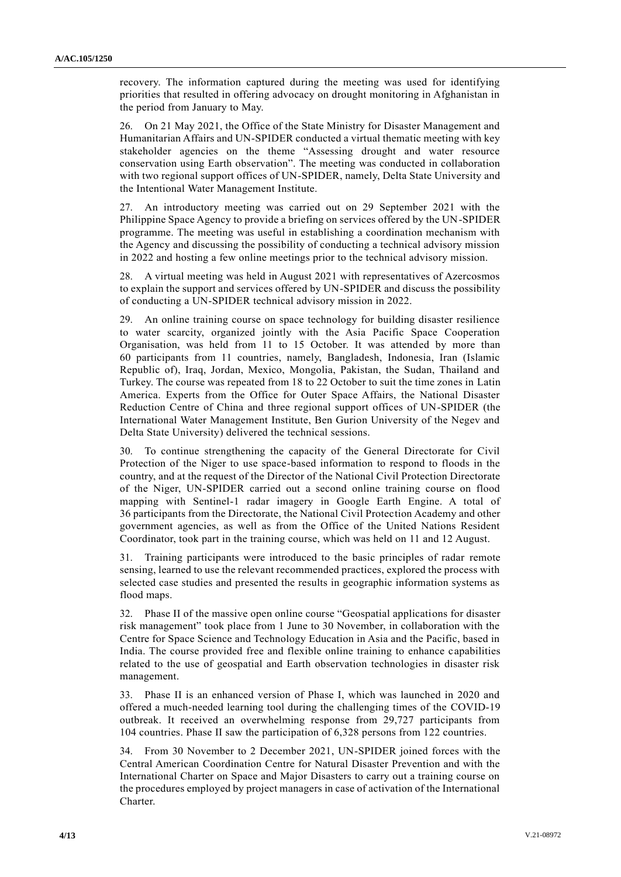recovery. The information captured during the meeting was used for identifying priorities that resulted in offering advocacy on drought monitoring in Afghanistan in the period from January to May.

26. On 21 May 2021, the Office of the State Ministry for Disaster Management and Humanitarian Affairs and UN-SPIDER conducted a virtual thematic meeting with key stakeholder agencies on the theme "Assessing drought and water resource conservation using Earth observation". The meeting was conducted in collaboration with two regional support offices of UN-SPIDER, namely, Delta State University and the Intentional Water Management Institute.

27. An introductory meeting was carried out on 29 September 2021 with the Philippine Space Agency to provide a briefing on services offered by the UN-SPIDER programme. The meeting was useful in establishing a coordination mechanism with the Agency and discussing the possibility of conducting a technical advisory mission in 2022 and hosting a few online meetings prior to the technical advisory mission.

28. A virtual meeting was held in August 2021 with representatives of Azercosmos to explain the support and services offered by UN-SPIDER and discuss the possibility of conducting a UN-SPIDER technical advisory mission in 2022.

29. An online training course on space technology for building disaster resilience to water scarcity, organized jointly with the Asia Pacific Space Cooperation Organisation, was held from 11 to 15 October. It was attended by more than 60 participants from 11 countries, namely, Bangladesh, Indonesia, Iran (Islamic Republic of), Iraq, Jordan, Mexico, Mongolia, Pakistan, the Sudan, Thailand and Turkey. The course was repeated from 18 to 22 October to suit the time zones in Latin America. Experts from the Office for Outer Space Affairs, the National Disaster Reduction Centre of China and three regional support offices of UN-SPIDER (the International Water Management Institute, Ben Gurion University of the Negev and Delta State University) delivered the technical sessions.

30. To continue strengthening the capacity of the General Directorate for Civil Protection of the Niger to use space-based information to respond to floods in the country, and at the request of the Director of the National Civil Protection Directorate of the Niger, UN-SPIDER carried out a second online training course on flood mapping with Sentinel-1 radar imagery in Google Earth Engine. A total of 36 participants from the Directorate, the National Civil Protection Academy and other government agencies, as well as from the Office of the United Nations Resident Coordinator, took part in the training course, which was held on 11 and 12 August.

31. Training participants were introduced to the basic principles of radar remote sensing, learned to use the relevant recommended practices, explored the process with selected case studies and presented the results in geographic information systems as flood maps.

32. Phase II of the massive open online course "Geospatial applications for disaster risk management" took place from 1 June to 30 November, in collaboration with the Centre for Space Science and Technology Education in Asia and the Pacific, based in India. The course provided free and flexible online training to enhance capabilities related to the use of geospatial and Earth observation technologies in disaster risk management.

33. Phase II is an enhanced version of Phase I, which was launched in 2020 and offered a much-needed learning tool during the challenging times of the COVID-19 outbreak. It received an overwhelming response from 29,727 participants from 104 countries. Phase II saw the participation of 6,328 persons from 122 countries.

34. From 30 November to 2 December 2021, UN-SPIDER joined forces with the Central American Coordination Centre for Natural Disaster Prevention and with the International Charter on Space and Major Disasters to carry out a training course on the procedures employed by project managers in case of activation of the International Charter.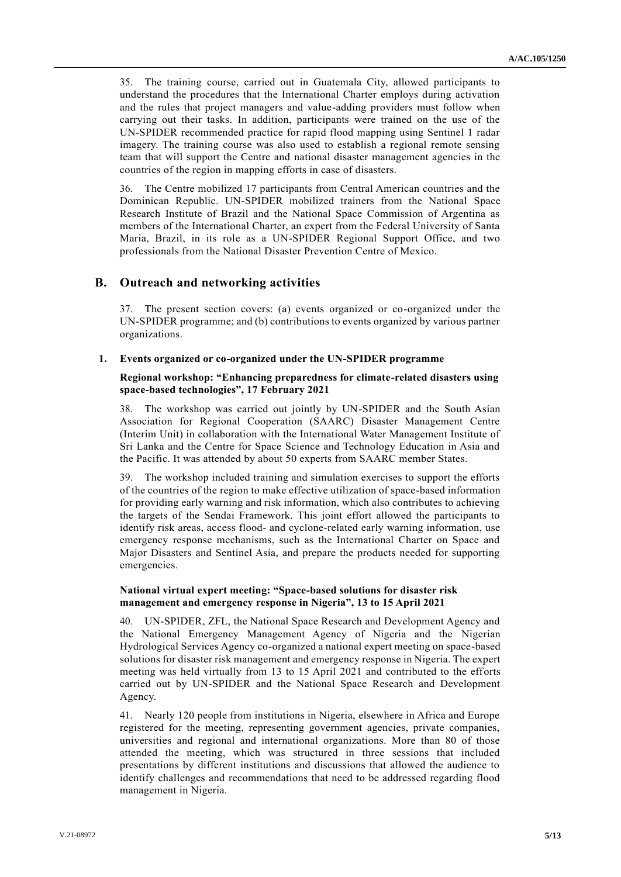35. The training course, carried out in Guatemala City, allowed participants to understand the procedures that the International Charter employs during activation and the rules that project managers and value-adding providers must follow when carrying out their tasks. In addition, participants were trained on the use of the UN-SPIDER recommended practice for rapid flood mapping using Sentinel 1 radar imagery. The training course was also used to establish a regional remote sensing team that will support the Centre and national disaster management agencies in the countries of the region in mapping efforts in case of disasters.

36. The Centre mobilized 17 participants from Central American countries and the Dominican Republic. UN-SPIDER mobilized trainers from the National Space Research Institute of Brazil and the National Space Commission of Argentina as members of the International Charter, an expert from the Federal University of Santa Maria, Brazil, in its role as a UN-SPIDER Regional Support Office, and two professionals from the National Disaster Prevention Centre of Mexico.

# **B. Outreach and networking activities**

37. The present section covers: (a) events organized or co-organized under the UN-SPIDER programme; and (b) contributions to events organized by various partner organizations.

### **1. Events organized or co-organized under the UN-SPIDER programme**

## **Regional workshop: "Enhancing preparedness for climate-related disasters using space-based technologies", 17 February 2021**

38. The workshop was carried out jointly by UN-SPIDER and the South Asian Association for Regional Cooperation (SAARC) Disaster Management Centre (Interim Unit) in collaboration with the International Water Management Institute of Sri Lanka and the Centre for Space Science and Technology Education in Asia and the Pacific. It was attended by about 50 experts from SAARC member States.

39. The workshop included training and simulation exercises to support the efforts of the countries of the region to make effective utilization of space-based information for providing early warning and risk information, which also contributes to achieving the targets of the Sendai Framework. This joint effort allowed the participants to identify risk areas, access flood- and cyclone-related early warning information, use emergency response mechanisms, such as the International Charter on Space and Major Disasters and Sentinel Asia, and prepare the products needed for supporting emergencies.

## **National virtual expert meeting: "Space-based solutions for disaster risk management and emergency response in Nigeria", 13 to 15 April 2021**

40. UN-SPIDER, ZFL, the National Space Research and Development Agency and the National Emergency Management Agency of Nigeria and the Nigerian Hydrological Services Agency co-organized a national expert meeting on space-based solutions for disaster risk management and emergency response in Nigeria. The expert meeting was held virtually from 13 to 15 April 2021 and contributed to the efforts carried out by UN-SPIDER and the National Space Research and Development Agency.

41. Nearly 120 people from institutions in Nigeria, elsewhere in Africa and Europe registered for the meeting, representing government agencies, private companies, universities and regional and international organizations. More than 80 of those attended the meeting, which was structured in three sessions that included presentations by different institutions and discussions that allowed the audience to identify challenges and recommendations that need to be addressed regarding flood management in Nigeria.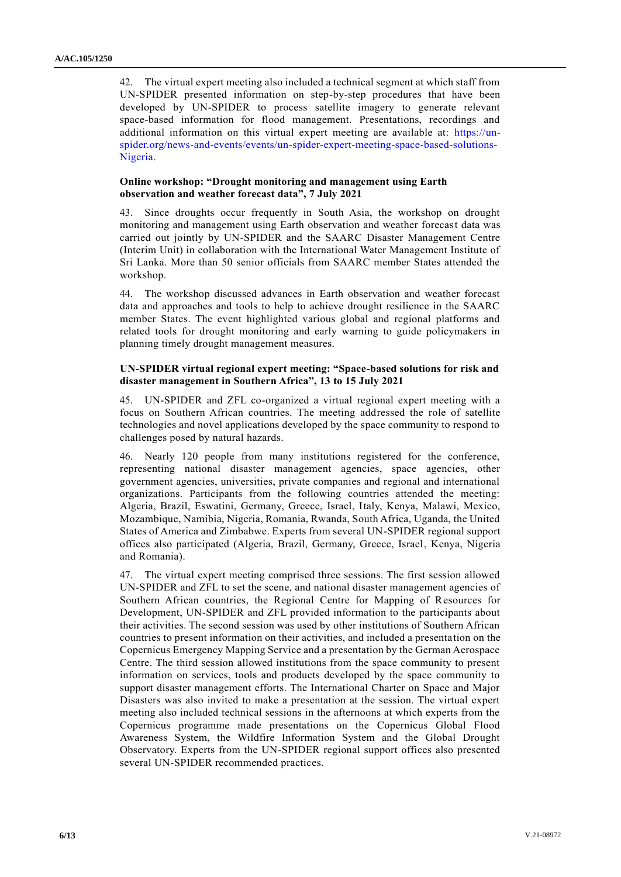42. The virtual expert meeting also included a technical segment at which staff from UN-SPIDER presented information on step-by-step procedures that have been developed by UN-SPIDER to process satellite imagery to generate relevant space-based information for flood management. Presentations, recordings and additional information on this virtual expert meeting are available at: [https://un](https://un-spider.org/news-and-events/events/un-spider-expert-meeting-space-based-solutions-Nigeria)[spider.org/news-and-events/events/un-spider-expert-meeting-space-based-solutions-](https://un-spider.org/news-and-events/events/un-spider-expert-meeting-space-based-solutions-Nigeria)[Nigeria.](https://un-spider.org/news-and-events/events/un-spider-expert-meeting-space-based-solutions-Nigeria)

## **Online workshop: "Drought monitoring and management using Earth observation and weather forecast data", 7 July 2021**

43. Since droughts occur frequently in South Asia, the workshop on drought monitoring and management using Earth observation and weather forecast data was carried out jointly by UN-SPIDER and the SAARC Disaster Management Centre (Interim Unit) in collaboration with the International Water Management Institute of Sri Lanka. More than 50 senior officials from SAARC member States attended the workshop.

44. The workshop discussed advances in Earth observation and weather forecast data and approaches and tools to help to achieve drought resilience in the SAARC member States. The event highlighted various global and regional platforms and related tools for drought monitoring and early warning to guide policymakers in planning timely drought management measures.

## **UN-SPIDER virtual regional expert meeting: "Space-based solutions for risk and disaster management in Southern Africa", 13 to 15 July 2021**

45. UN-SPIDER and ZFL co-organized a virtual regional expert meeting with a focus on Southern African countries. The meeting addressed the role of satellite technologies and novel applications developed by the space community to respond to challenges posed by natural hazards.

46. Nearly 120 people from many institutions registered for the conference, representing national disaster management agencies, space agencies, other government agencies, universities, private companies and regional and international organizations. Participants from the following countries attended the meeting: Algeria, Brazil, Eswatini, Germany, Greece, Israel, Italy, Kenya, Malawi, Mexico, Mozambique, Namibia, Nigeria, Romania, Rwanda, South Africa, Uganda, the United States of America and Zimbabwe. Experts from several UN-SPIDER regional support offices also participated (Algeria, Brazil, Germany, Greece, Israel, Kenya, Nigeria and Romania).

47. The virtual expert meeting comprised three sessions. The first session allowed UN-SPIDER and ZFL to set the scene, and national disaster management agencies of Southern African countries, the Regional Centre for Mapping of Resources for Development, UN-SPIDER and ZFL provided information to the participants about their activities. The second session was used by other institutions of Southern African countries to present information on their activities, and included a presentation on the Copernicus Emergency Mapping Service and a presentation by the German Aerospace Centre. The third session allowed institutions from the space community to present information on services, tools and products developed by the space community to support disaster management efforts. The International Charter on Space and Major Disasters was also invited to make a presentation at the session. The virtual expert meeting also included technical sessions in the afternoons at which experts from the Copernicus programme made presentations on the Copernicus Global Flood Awareness System, the Wildfire Information System and the Global Drought Observatory. Experts from the UN-SPIDER regional support offices also presented several UN-SPIDER recommended practices.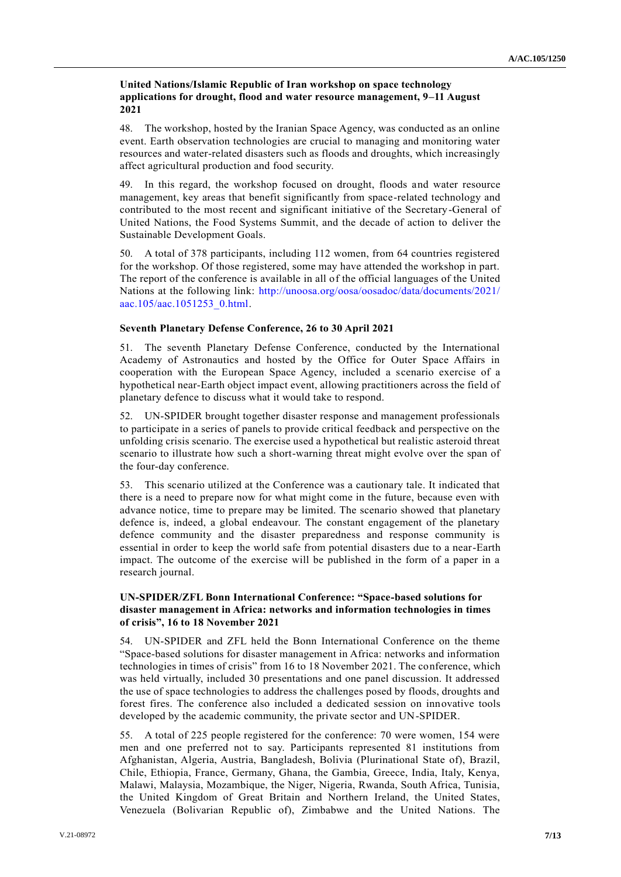## **United Nations/Islamic Republic of Iran workshop on space technology applications for drought, flood and water resource management, 9–11 August 2021**

48. The workshop, hosted by the Iranian Space Agency, was conducted as an online event. Earth observation technologies are crucial to managing and monitoring water resources and water-related disasters such as floods and droughts, which increasingly affect agricultural production and food security.

49. In this regard, the workshop focused on drought, floods and water resource management, key areas that benefit significantly from space-related technology and contributed to the most recent and significant initiative of the Secretary-General of United Nations, the Food Systems Summit, and the decade of action to deliver the Sustainable Development Goals.

50. A total of 378 participants, including 112 women, from 64 countries registered for the workshop. Of those registered, some may have attended the workshop in part. The report of the conference is available in all of the official languages of the United Nations at the following link: [http://unoosa.org/oosa/oosadoc/data/documents/2021/](http://unoosa.org/oosa/oosadoc/data/documents/2021/aac.105/aac.1051253_0.html) [aac.105/aac.1051253\\_0.html.](http://unoosa.org/oosa/oosadoc/data/documents/2021/aac.105/aac.1051253_0.html)

### **Seventh Planetary Defense Conference, 26 to 30 April 2021**

51. The seventh Planetary Defense Conference, conducted by the International Academy of Astronautics and hosted by the Office for Outer Space Affairs in cooperation with the European Space Agency, included a scenario exercise of a hypothetical near-Earth object impact event, allowing practitioners across the field of planetary defence to discuss what it would take to respond.

52. UN-SPIDER brought together disaster response and management professionals to participate in a series of panels to provide critical feedback and perspective on the unfolding crisis scenario. The exercise used a hypothetical but realistic asteroid threat scenario to illustrate how such a short-warning threat might evolve over the span of the four-day conference.

53. This scenario utilized at the Conference was a cautionary tale. It indicated that there is a need to prepare now for what might come in the future, because even with advance notice, time to prepare may be limited. The scenario showed that planetary defence is, indeed, a global endeavour. The constant engagement of the planetary defence community and the disaster preparedness and response community is essential in order to keep the world safe from potential disasters due to a near-Earth impact. The outcome of the exercise will be published in the form of a paper in a research journal.

## **UN-SPIDER/ZFL Bonn International Conference: "Space-based solutions for disaster management in Africa: networks and information technologies in times of crisis", 16 to 18 November 2021**

54. UN-SPIDER and ZFL held the Bonn International Conference on the theme "Space-based solutions for disaster management in Africa: networks and information technologies in times of crisis" from 16 to 18 November 2021. The conference, which was held virtually, included 30 presentations and one panel discussion. It addressed the use of space technologies to address the challenges posed by floods, droughts and forest fires. The conference also included a dedicated session on innovative tools developed by the academic community, the private sector and UN-SPIDER.

55. A total of 225 people registered for the conference: 70 were women, 154 were men and one preferred not to say. Participants represented 81 institutions from Afghanistan, Algeria, Austria, Bangladesh, Bolivia (Plurinational State of), Brazil, Chile, Ethiopia, France, Germany, Ghana, the Gambia, Greece, India, Italy, Kenya, Malawi, Malaysia, Mozambique, the Niger, Nigeria, Rwanda, South Africa, Tunisia, the United Kingdom of Great Britain and Northern Ireland, the United States, Venezuela (Bolivarian Republic of), Zimbabwe and the United Nations. The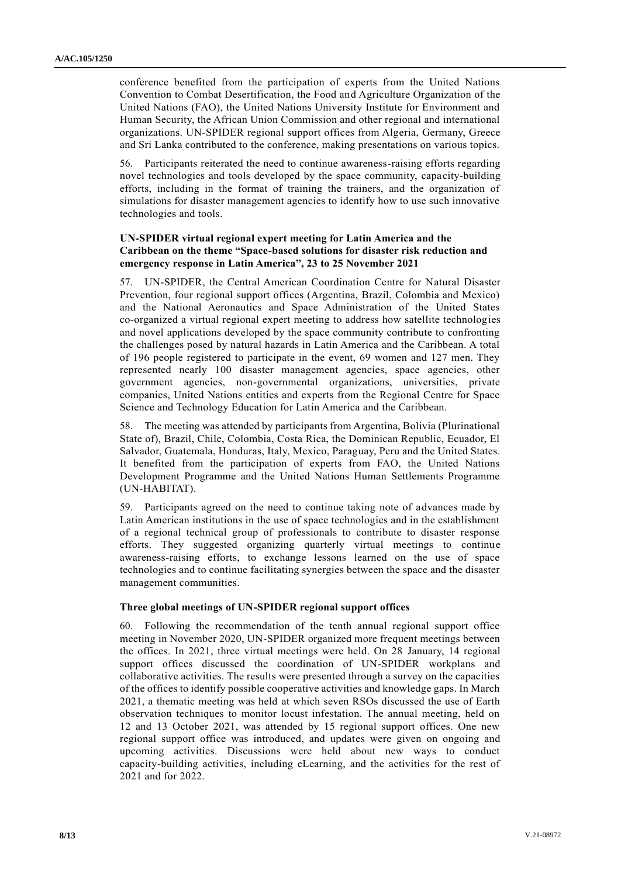conference benefited from the participation of experts from the United Nations Convention to Combat Desertification, the Food and Agriculture Organization of the United Nations (FAO), the United Nations University Institute for Environment and Human Security, the African Union Commission and other regional and international organizations. UN-SPIDER regional support offices from Algeria, Germany, Greece and Sri Lanka contributed to the conference, making presentations on various topics.

56. Participants reiterated the need to continue awareness-raising efforts regarding novel technologies and tools developed by the space community, capacity-building efforts, including in the format of training the trainers, and the organization of simulations for disaster management agencies to identify how to use such innovative technologies and tools.

## **UN-SPIDER virtual regional expert meeting for Latin America and the Caribbean on the theme "Space-based solutions for disaster risk reduction and emergency response in Latin America", 23 to 25 November 2021**

57. UN-SPIDER, the Central American Coordination Centre for Natural Disaster Prevention, four regional support offices (Argentina, Brazil, Colombia and Mexico) and the National Aeronautics and Space Administration of the United States co-organized a virtual regional expert meeting to address how satellite technologies and novel applications developed by the space community contribute to confronting the challenges posed by natural hazards in Latin America and the Caribbean. A total of 196 people registered to participate in the event, 69 women and 127 men. They represented nearly 100 disaster management agencies, space agencies, other government agencies, non-governmental organizations, universities, private companies, United Nations entities and experts from the Regional Centre for Space Science and Technology Education for Latin America and the Caribbean.

58. The meeting was attended by participants from Argentina, Bolivia (Plurinational State of), Brazil, Chile, Colombia, Costa Rica, the Dominican Republic, Ecuador, El Salvador, Guatemala, Honduras, Italy, Mexico, Paraguay, Peru and the United States. It benefited from the participation of experts from FAO, the United Nations Development Programme and the United Nations Human Settlements Programme (UN-HABITAT).

59. Participants agreed on the need to continue taking note of advances made by Latin American institutions in the use of space technologies and in the establishment of a regional technical group of professionals to contribute to disaster response efforts. They suggested organizing quarterly virtual meetings to continue awareness-raising efforts, to exchange lessons learned on the use of space technologies and to continue facilitating synergies between the space and the disaster management communities.

### **Three global meetings of UN-SPIDER regional support offices**

60. Following the recommendation of the tenth annual regional support office meeting in November 2020, UN-SPIDER organized more frequent meetings between the offices. In 2021, three virtual meetings were held. On 28 January, 14 regional support offices discussed the coordination of UN-SPIDER workplans and collaborative activities. The results were presented through a survey on the capacities of the offices to identify possible cooperative activities and knowledge gaps. In March 2021, a thematic meeting was held at which seven RSOs discussed the use of Earth observation techniques to monitor locust infestation. The annual meeting, held on 12 and 13 October 2021, was attended by 15 regional support offices. One new regional support office was introduced, and updates were given on ongoing and upcoming activities. Discussions were held about new ways to conduct capacity-building activities, including eLearning, and the activities for the rest of 2021 and for 2022.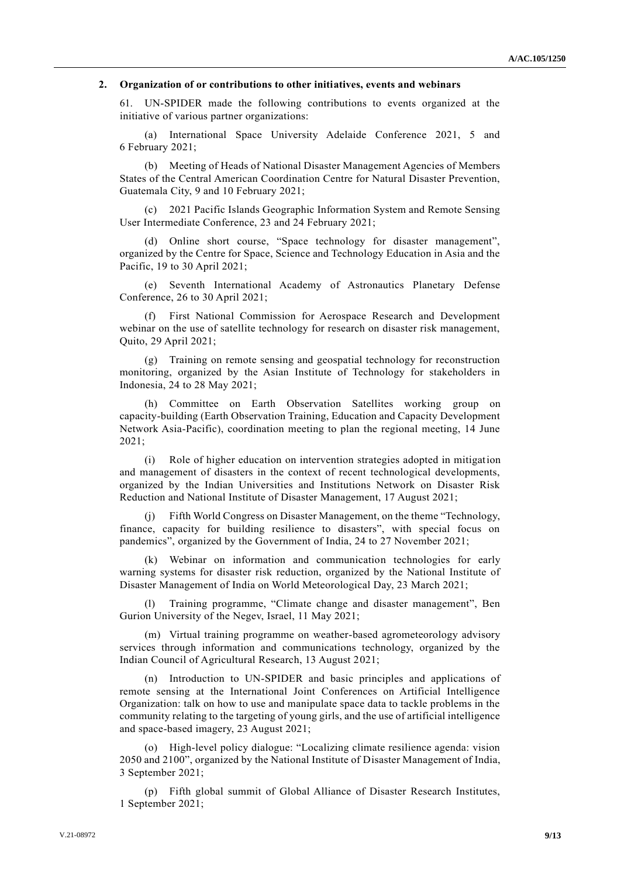## **2. Organization of or contributions to other initiatives, events and webinars**

61. UN-SPIDER made the following contributions to events organized at the initiative of various partner organizations:

(a) International Space University Adelaide Conference 2021, 5 and 6 February 2021;

(b) Meeting of Heads of National Disaster Management Agencies of Members States of the Central American Coordination Centre for Natural Disaster Prevention, Guatemala City, 9 and 10 February 2021;

(c) 2021 Pacific Islands Geographic Information System and Remote Sensing User Intermediate Conference, 23 and 24 February 2021;

(d) Online short course, "Space technology for disaster management", organized by the Centre for Space, Science and Technology Education in Asia and the Pacific, 19 to 30 April 2021;

(e) Seventh International Academy of Astronautics Planetary Defense Conference, 26 to 30 April 2021;

(f) First National Commission for Aerospace Research and Development webinar on the use of satellite technology for research on disaster risk management, Quito, 29 April 2021;

(g) Training on remote sensing and geospatial technology for reconstruction monitoring, organized by the Asian Institute of Technology for stakeholders in Indonesia, 24 to 28 May 2021;

(h) Committee on Earth Observation Satellites working group on capacity-building (Earth Observation Training, Education and Capacity Development Network Asia-Pacific), coordination meeting to plan the regional meeting, 14 June 2021;

(i) Role of higher education on intervention strategies adopted in mitigation and management of disasters in the context of recent technological developments, organized by the Indian Universities and Institutions Network on Disaster Risk Reduction and National Institute of Disaster Management, 17 August 2021;

(j) Fifth World Congress on Disaster Management, on the theme "Technology, finance, capacity for building resilience to disasters", with special focus on pandemics", organized by the Government of India, 24 to 27 November 2021;

(k) Webinar on information and communication technologies for early warning systems for disaster risk reduction, organized by the National Institute of Disaster Management of India on World Meteorological Day, 23 March 2021;

Training programme, "Climate change and disaster management", Ben Gurion University of the Negev, Israel, 11 May 2021;

(m) Virtual training programme on weather-based agrometeorology advisory services through information and communications technology, organized by the Indian Council of Agricultural Research, 13 August 2021;

(n) Introduction to UN-SPIDER and basic principles and applications of remote sensing at the International Joint Conferences on Artificial Intelligence Organization: talk on how to use and manipulate space data to tackle problems in the community relating to the targeting of young girls, and the use of artificial intelligence and space-based imagery, 23 August 2021;

(o) High-level policy dialogue: "Localizing climate resilience agenda: vision 2050 and 2100", organized by the National Institute of Disaster Management of India, 3 September 2021;

(p) Fifth global summit of Global Alliance of Disaster Research Institutes, 1 September 2021;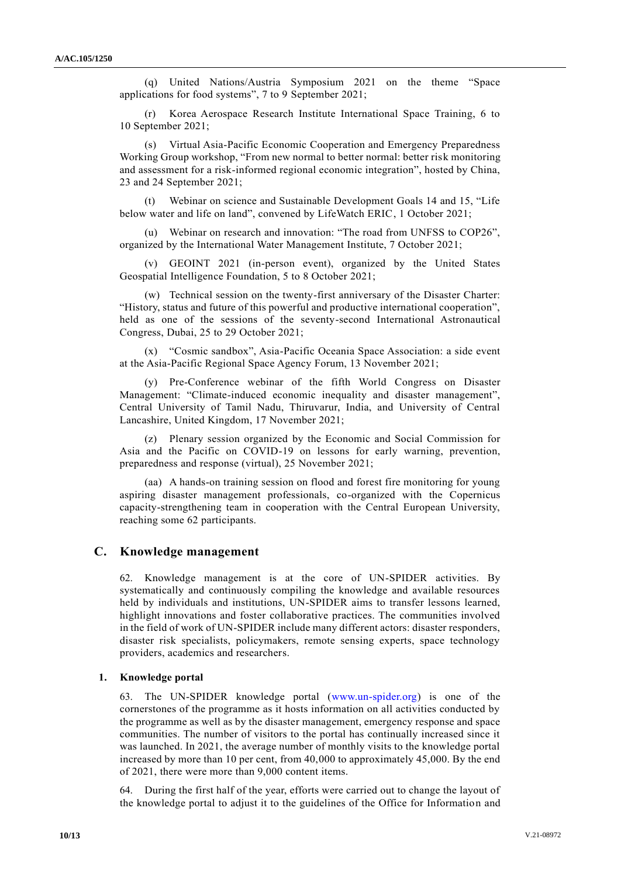(q) United Nations/Austria Symposium 2021 on the theme "Space applications for food systems", 7 to 9 September 2021;

(r) Korea Aerospace Research Institute International Space Training, 6 to 10 September 2021;

(s) Virtual Asia-Pacific Economic Cooperation and Emergency Preparedness Working Group workshop, "From new normal to better normal: better risk monitoring and assessment for a risk-informed regional economic integration", hosted by China, 23 and 24 September 2021;

(t) Webinar on science and Sustainable Development Goals 14 and 15, "Life below water and life on land", convened by LifeWatch ERIC, 1 October 2021;

(u) Webinar on research and innovation: "The road from UNFSS to COP26", organized by the International Water Management Institute, 7 October 2021;

(v) GEOINT 2021 (in-person event), organized by the United States Geospatial Intelligence Foundation, 5 to 8 October 2021;

(w) Technical session on the twenty-first anniversary of the Disaster Charter: "History, status and future of this powerful and productive international cooperation", held as one of the sessions of the seventy-second International Astronautical Congress, Dubai, 25 to 29 October 2021;

(x) "Cosmic sandbox", Asia-Pacific Oceania Space Association: a side event at the Asia-Pacific Regional Space Agency Forum, 13 November 2021;

(y) Pre-Conference webinar of the fifth World Congress on Disaster Management: "Climate-induced economic inequality and disaster management", Central University of Tamil Nadu, Thiruvarur, India, and University of Central Lancashire, United Kingdom, 17 November 2021;

(z) Plenary session organized by the Economic and Social Commission for Asia and the Pacific on COVID-19 on lessons for early warning, prevention, preparedness and response (virtual), 25 November 2021;

(aa) A hands-on training session on flood and forest fire monitoring for young aspiring disaster management professionals, co-organized with the Copernicus capacity-strengthening team in cooperation with the Central European University, reaching some 62 participants.

### **C. Knowledge management**

62. Knowledge management is at the core of UN-SPIDER activities. By systematically and continuously compiling the knowledge and available resources held by individuals and institutions, UN-SPIDER aims to transfer lessons learned, highlight innovations and foster collaborative practices. The communities involved in the field of work of UN-SPIDER include many different actors: disaster responders, disaster risk specialists, policymakers, remote sensing experts, space technology providers, academics and researchers.

### **1. Knowledge portal**

63. The UN-SPIDER knowledge portal [\(www.un-spider.org\)](http://www.un-spider.org/) is one of the cornerstones of the programme as it hosts information on all activities conducted by the programme as well as by the disaster management, emergency response and space communities. The number of visitors to the portal has continually increased since it was launched. In 2021, the average number of monthly visits to the knowledge portal increased by more than 10 per cent, from 40,000 to approximately 45,000. By the end of 2021, there were more than 9,000 content items.

64. During the first half of the year, efforts were carried out to change the layout of the knowledge portal to adjust it to the guidelines of the Office for Information and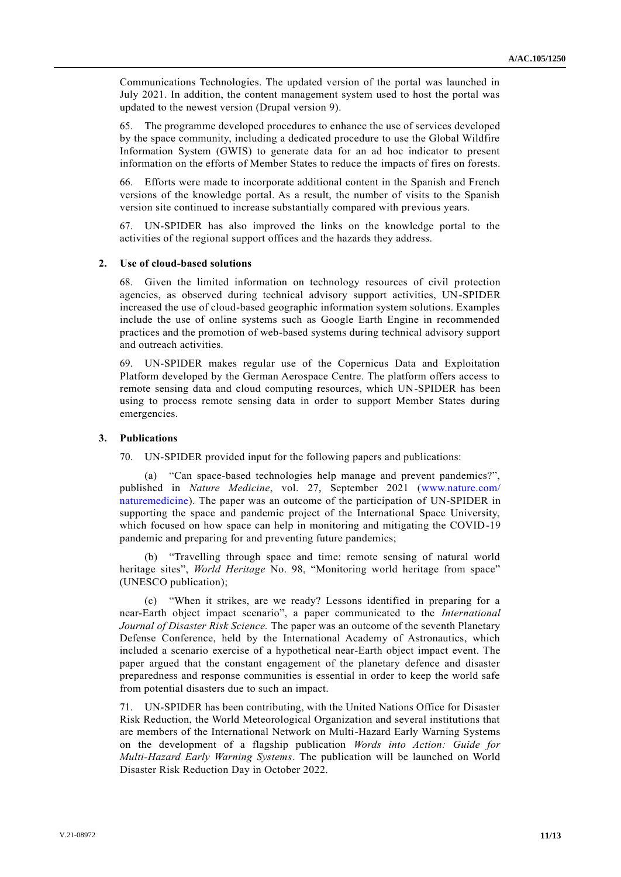Communications Technologies. The updated version of the portal was launched in July 2021. In addition, the content management system used to host the portal was updated to the newest version (Drupal version 9).

65. The programme developed procedures to enhance the use of services developed by the space community, including a dedicated procedure to use the Global Wildfire Information System (GWIS) to generate data for an ad hoc indicator to present information on the efforts of Member States to reduce the impacts of fires on forests.

66. Efforts were made to incorporate additional content in the Spanish and French versions of the knowledge portal. As a result, the number of visits to the Spanish version site continued to increase substantially compared with previous years.

67. UN-SPIDER has also improved the links on the knowledge portal to the activities of the regional support offices and the hazards they address.

### **2. Use of cloud-based solutions**

68. Given the limited information on technology resources of civil protection agencies, as observed during technical advisory support activities, UN-SPIDER increased the use of cloud-based geographic information system solutions. Examples include the use of online systems such as Google Earth Engine in recommended practices and the promotion of web-based systems during technical advisory support and outreach activities.

69. UN-SPIDER makes regular use of the Copernicus Data and Exploitation Platform developed by the German Aerospace Centre. The platform offers access to remote sensing data and cloud computing resources, which UN-SPIDER has been using to process remote sensing data in order to support Member States during emergencies.

#### **3. Publications**

70. UN-SPIDER provided input for the following papers and publications:

(a) "Can space-based technologies help manage and prevent pandemics?", published in *Nature Medicine*, vol. 27, September 2021 [\(www.nature.com/](http://www.nature.com/naturemedicine) [naturemedicine\)](http://www.nature.com/naturemedicine). The paper was an outcome of the participation of UN-SPIDER in supporting the space and pandemic project of the International Space University, which focused on how space can help in monitoring and mitigating the COVID-19 pandemic and preparing for and preventing future pandemics;

(b) "Travelling through space and time: remote sensing of natural world heritage sites", *World Heritage* No. 98, "Monitoring world heritage from space" (UNESCO publication);

(c) "When it strikes, are we ready? Lessons identified in preparing for a near-Earth object impact scenario", a paper communicated to the *International Journal of Disaster Risk Science.* The paper was an outcome of the seventh Planetary Defense Conference, held by the International Academy of Astronautics, which included a scenario exercise of a hypothetical near-Earth object impact event. The paper argued that the constant engagement of the planetary defence and disaster preparedness and response communities is essential in order to keep the world safe from potential disasters due to such an impact.

71. UN-SPIDER has been contributing, with the United Nations Office for Disaster Risk Reduction, the World Meteorological Organization and several institutions that are members of the International Network on Multi-Hazard Early Warning Systems on the development of a flagship publication *Words into Action: Guide for Multi-Hazard Early Warning Systems*. The publication will be launched on World Disaster Risk Reduction Day in October 2022.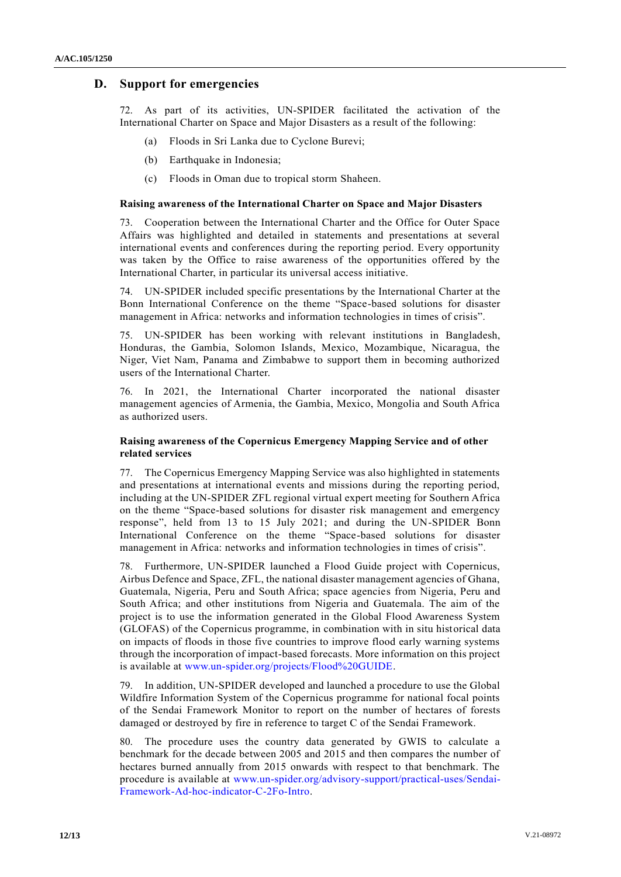# **D. Support for emergencies**

72. As part of its activities, UN-SPIDER facilitated the activation of the International Charter on Space and Major Disasters as a result of the following:

- (a) Floods in Sri Lanka due to Cyclone Burevi;
- (b) Earthquake in Indonesia;
- (c) Floods in Oman due to tropical storm Shaheen.

#### **Raising awareness of the International Charter on Space and Major Disasters**

73. Cooperation between the International Charter and the Office for Outer Space Affairs was highlighted and detailed in statements and presentations at several international events and conferences during the reporting period. Every opportunity was taken by the Office to raise awareness of the opportunities offered by the International Charter, in particular its universal access initiative.

74. UN-SPIDER included specific presentations by the International Charter at the Bonn International Conference on the theme "Space-based solutions for disaster management in Africa: networks and information technologies in times of crisis".

75. UN-SPIDER has been working with relevant institutions in Bangladesh, Honduras, the Gambia, Solomon Islands, Mexico, Mozambique, Nicaragua, the Niger, Viet Nam, Panama and Zimbabwe to support them in becoming authorized users of the International Charter.

76. In 2021, the International Charter incorporated the national disaster management agencies of Armenia, the Gambia, Mexico, Mongolia and South Africa as authorized users.

### **Raising awareness of the Copernicus Emergency Mapping Service and of other related services**

77. The Copernicus Emergency Mapping Service was also highlighted in statements and presentations at international events and missions during the reporting period, including at the UN-SPIDER ZFL regional virtual expert meeting for Southern Africa on the theme "Space-based solutions for disaster risk management and emergency response", held from 13 to 15 July 2021; and during the UN-SPIDER Bonn International Conference on the theme "Space-based solutions for disaster management in Africa: networks and information technologies in times of crisis".

78. Furthermore, UN-SPIDER launched a Flood Guide project with Copernicus, Airbus Defence and Space, ZFL, the national disaster management agencies of Ghana, Guatemala, Nigeria, Peru and South Africa; space agencies from Nigeria, Peru and South Africa; and other institutions from Nigeria and Guatemala. The aim of the project is to use the information generated in the Global Flood Awareness System (GLOFAS) of the Copernicus programme, in combination with in situ historical data on impacts of floods in those five countries to improve flood early warning systems through the incorporation of impact-based forecasts. More information on this project is available at [www.un-spider.org/projects/Flood%20GUIDE.](http://www.un-spider.org/projects/Flood%20GUIDE)

79. In addition, UN-SPIDER developed and launched a procedure to use the Global Wildfire Information System of the Copernicus programme for national focal points of the Sendai Framework Monitor to report on the number of hectares of forests damaged or destroyed by fire in reference to target C of the Sendai Framework.

80. The procedure uses the country data generated by GWIS to calculate a benchmark for the decade between 2005 and 2015 and then compares the number of hectares burned annually from 2015 onwards with respect to that benchmark. The procedure is available at [www.un-spider.org/advisory-support/practical-uses/Sendai-](http://www.un-spider.org/advisory-support/practical-uses/Sendai-Framework-Ad-hoc-indicator-C-2Fo-Intro)[Framework-Ad-hoc-indicator-C-2Fo-Intro.](http://www.un-spider.org/advisory-support/practical-uses/Sendai-Framework-Ad-hoc-indicator-C-2Fo-Intro)